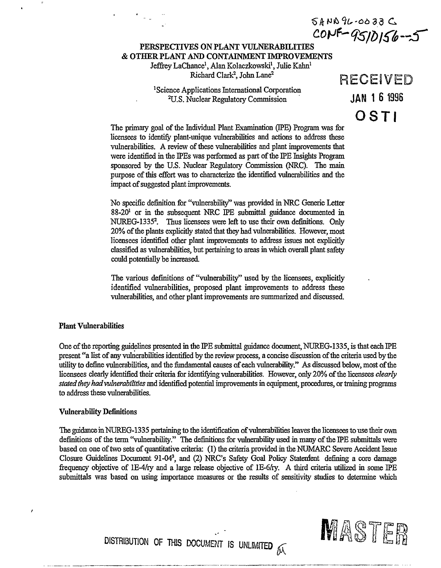**SANA 9L-0033 C**<br>CONF-95/0156-75

# **& OTHER PLANT AND CONTAINMENT IMPROVEMENTS**  Jeffrey LaChance<sup>1</sup>, Alan Kolaczkowski<sup>1</sup>, Julie Kahn<sup>1</sup> Richard Clark<sup>2</sup>, John Lane<sup>2</sup>

1 Science Applications International Corporation <sup>2</sup>U.S. Nuclear Regulatory Commission **JAN 1 6 1996** 

RECEIVED **OSTI** 

The primary goal of the Individual Plant Examination (IPE) Program was for licensees to identify plant-unique vulnerabilities and actions to address these vulnerabilities. A review of these vulnerabilities and plant improvements that were identified in the IPEs was performed as part of the IPE Insights Program sponsored by the U.S. Nuclear Regulatory Commission (NRC). The main purpose of this effort was to characterize the identified vulnerabilities and the impact of suggested plant improvements.

No specific definition for "vulnerability" was provided in NRC Generic Letter 88-20<sup>1</sup> or in the subsequent NRC IPE submittal guidance documented in NUREG-1335<sup>2</sup>. Thus licensees were left to use their own definitions. Only 20% of the plants explicitly stated that they had vulnerabilities. However, most licensees identified other plant improvements to address issues not explicitly classified as vulnerabilities, but pertaining to areas in which overall plant safety could potentially be increased.

The various definitions of "vulnerability" used by the licensees, explicidy identified vulnerabilities, proposed plant improvements to address these vulnerabilities, and other plant improvements are summarized and discussed.

# **Plant** Vulnerabilities

One of the reporting guidelines presented in the IPE submittal guidance document, NUREG-1335, is that each IPE present "a list of any vulnerabilities identified by the review process, a concise discussion of the criteria used by the utility to define vulnerabilities, and the fimdamental causes of each vulnerabuity." As discussed below, most of the licensees clearly identified their criteria for identifying vulnerabilities. However, only 20% of the licensees *clearly stated they had vulnerabilities* and identified potential improvements in equipment, procedures, or training programs to address these vulnerabilities.

# **Vulnerability Definitions**

The guidance in NUREG-1335 pertaining to the identification of vulnerabilities leaves the licensees to use their own definitions of the term "vulnerability." The definitions for vulnerability used in many of the IPE submittals were based on one of two sets of quantitative criteria: (1) the criteria provided in the NUMARC Severe Accident Issue Closure Guidelines Document 91-04<sup>3</sup> , and (2) NRC's Safety Goal Policy Statenfent defining a core damage frequency objective of lE-4/ry and a large release objective of lE-6/ry. A third criteria utilized in some IPE submittals was based on using importance measures or the results of sensitivity studies to determine which



**DISTRIBUTION OF THIS DOCUMENT IS UNLIMITED**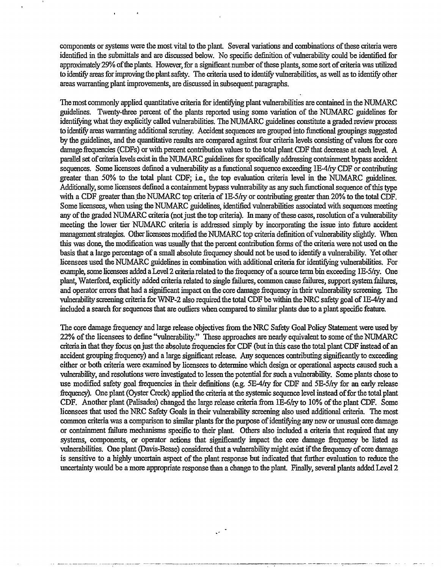components or systems were the most vital to the plant. Several variations and combinations of these criteria were identified in the submittals and are discussed below. No specific definition of vulnerability could be identified for approximately 29% of the plants. However, for a significant number of these plants, some sort of criteria was utilized to identify areas for improving the plant safety. The criteria used to identify vulnerabilities, as well as to identify other areas warranting plant improvements, are discussed in subsequent paragraphs.

The most commonly applied quantitative criteria for identifying plant vulnerabilities are contained in the NUMARC guidelines. Twenty-three percent of the plants reported using some variation of the NUMARC guidelines for identifying what they explicitly called vulnerabilities. The NUMARC guidelines constitute a graded review process to identify areas warranting additional scrutiny. Accident sequences are grouped into functional groupings suggested by the guidelines, and the quantitative results are compared against four criteria levels consisting of values for core damage frequencies (CDFs) or with percent contribution values to the total plant CDF that decrease at each level. A parallel set of criteria levels exist in the NUMARC guidelines for specifically addressing containment bypass accident sequences. Some licensees defined a vulnerability as a functional sequence exceeding 1E-4/ry CDF or contributing greater than 50% to the total plant CDF; i.e., the top evaluation criteria level in the NUMARC guidelines. Additionally, some licensees defined a containment bypass vulnerability as any such functional sequence of this type with a CDF greater than the NUMARC top criteria of  $1E-5/ry$  or contributing greater than 20% to the total CDF. Some licensees, when using the NUMARC guidelines, identified vulnerabilities associated with sequences meeting any of the graded NUMARC criteria (not just the top criteria). In many of these cases, resolution of a vulnerability meeting the lower tier NUMARC criteria is addressed simply by incorporating the issue into future accident management strategies. Other licensees modified the NUMARC top criteria definition of vulnerability slightly. When this was done, the modification was usually that the percent contribution forms of the criteria were not used on the basis that a large percentage of a small absolute frequency should not be used to identify a vulnerability. Yet other licensees used the NUMARC guidelines in combination with additional criteria for identifying vulnerabilities. For example, some licensees added a Level 2 criteria related to the frequency of a source term bin exceeding lE-5/ry. One plant, Waterford, explicitly added criteria related to single failures, common cause failures, support system failures, and operator errors that had a significant impact on the core damage frequency in their vulnerability screening. The vulnerability screening criteria for WNP-2 also required the total CDF be within the NRC safety goal of lE-4/ry and included a search for sequences that are outliers when compared to similar plants due to a plant specific feature.

The core damage frequency and large release objectives from the NRC Safety Goal Policy Statement were used by 22% of the licensees to define "vulnerability." These approaches are nearly equivalent to some of the NUMARC criteria in that they focus on just the absolute frequencies for CDF (but in this case the total plant CDF instead of an accident grouping frequency) and a large significant release. Any sequences contributing significantly to exceeding either or both criteria were examined by licensees to determine which design or operational aspects caused such a vulnerability, and resolutions were investigated to lessen the potential for such a vulnerability. Some plants chose to use modified safety goal frequencies in their definitions (e.g. 5E-4/ry for CDF and 5E-5/ry for an early release frequency). One plant (Oyster Creek) applied the criteria at the systemic sequence level instead of for the total plant CDF. Another plant (Palisades) changed the large release criteria from lE-6/ry to 10% of the plant CDF. Some licensees that used the NRC Safety Goals in their vulnerability screening also used additional criteria. The most common criteria was a comparison to similar plants for the purpose of identifying any new or unusual core damage or containment failure mechanisms specific to their plant. Others also included a criteria that required that any systems, components, or operator actions that significantly impact the core damage frequency be listed as vulnerabilities. One plant (Davis-Besse) considered that a vulnerability might exist if the frequency of core damage is sensitive to a highly uncertain aspect of the plant response but indicated that further evaluation to reduce the uncertainty would be a more appropriate response than a change to the plant. Finally, several plants added Level 2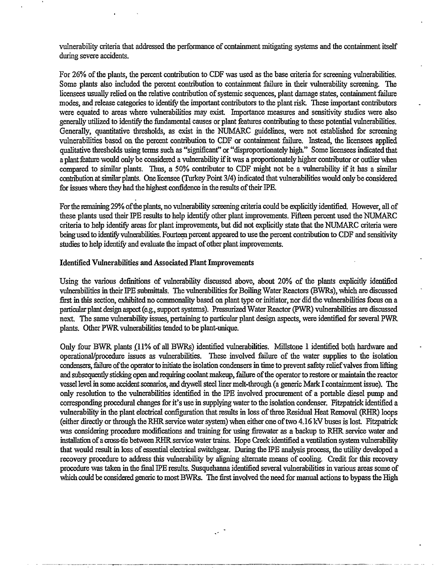vulnerability criteria that addressed the performance of containment mitigating systems and the containment itself during severe accidents.

For 26% of the plants, the percent contribution to CDF was used as the base criteria for screening vulnerabilities. Some plants also included the percent contribution to containment failure in their vulnerability screening. The licensees usually relied on the relative contribution of systemic sequences, plant damage states, containment failure modes, and release categories to identify the important contributors to the plant risk These important contributors were equated to areas where vulnerabilities may exist. Importance measures and sensitivity studies were also generally utilized to identify the fundamental causes or plant features contributing to these potential vulnerabilities. Generally, quantitative thresholds, as exist in the NUMARC guidelines, were not established for screening vulnerabilities based on the percent contribution to CDF or containment failure. Instead, the licensees applied qualitative thresholds using terms such as "significant" or "disproportionately high." Some licensees indicated that a plant feature would only be considered a vulnerabihty if it was a proportionately higher contributor or outlier when compared to similar plants. Thus, a 50% contributor to CDF might not be a vulnerability if it has a similar contribution at similar plants. One licensee (Turkey Point 3/4) indicated that vulnerabilities would only be considered for issues where they had the highest confidence in the results of their IPE.

For the remaining 29% of the plants, no vulnerability screening criteria could be explicitly identified. However, all of these plants used their IPE results to help identify other plant improvements. Fifteen percent used the NUMARC criteria to help identify areas for plant improvements, but did not explicitly state that the NUMARC criteria were being used to identify vulnerabilities. Fourteen percent appeared to use the percent contribution to CDF and sensitivity studies to help identify and evaluate the impact of other plant improvements.

#### Identified Vulnerabilities and Associated Plant Improvements

Using the various definitions of vulnerability discussed above, about 20% of the plants explicitly identified vulnerabilities in their IPE submittals. The vulnerabilities for Boiling Water Reactors (BWRs), which are discussed first in this section, exhibited no commonality based on plant type or initiator, nor did the vulnerabilities focus on a particular plant design aspect (e.g, support systems). Pressurized Water Reactor (PWR) vulnerabilities are discussed next. The same vulnerability issues, pertaining to particular plant design aspects, were identified for several PWR plants. Other PWR vulnerabilities tended to be plant-unique.

Only four BWR plants (11% of all BWRs) identified vulnerabilities. Millstone 1 identified both hardware and operational/procedure issues as vulnerabihties. These involved failure of the water supplies to the isolation condensers, failure of the operator to initiate the isolation condensers in time to prevent safety relief valves from lifting and subsequently sticking open and requiring coolant makeup, failure of the operator to restore or maintain the reactor vessel level in some accident scenarios, and drywell steel liner melt-through (a generic Mark I containment issue). The only resolution to the vulnerabilities identified in the IPE involved procurement of a portable diesel pump and corresponding procedural changes for it's use in supplying water to the isolation condenser. Fitzpatrick identified a vulnerability in the plant electrical configuration that results in loss of three Residual Heat Removal (RHR) loops (either directly or through the RHR service water system) when either one of two 4.16 kV buses is lost. Fitzpatrick was considering procedure modifications and training for using firewater as a backup to RHR service water and installation of a cross-tie between RHR service water trains. Hope Creek identified a ventilation system vulnerability that would result in loss of essential electrical switchgear. During the IPE analysis process, the utility developed a recovery procedure to address this vulnerability by aligning alternate means of cooling. Credit for this recovery procedure was taken in the final IPE results. Susquehanna identified several vulnerabilities in various areas some of which could be considered generic to most BWRs. The first involved the need for manual actions to bypass the High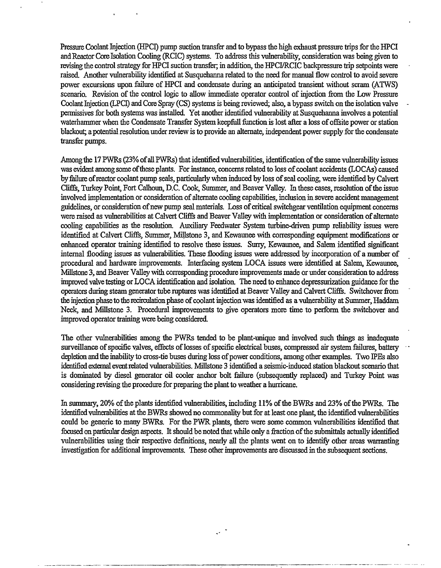Pressure Coolant Injection (HPCI) pump suction transfer and to bypass the high exhaust pressure trips for the HPCI and Reactor Core Isolation Cooling (RCIC) systems. To address this vulnerability, consideration was being given to revising the control strategy for HPCI suction transfer; in addition, the HPCI/RCIC backpressure trip setpoints were raised. Another vulnerability identified at Susquehanna related to the need for manual flow control to avoid severe power excursions upon failure of HPCI and condensate during an anticipated transient without scram (ATWS) scenario. Revision of the control logic to allow immediate operator control of injection from the Low Pressure Coolant Injection (LPCI) and Core Spray (CS) systems is being reviewed; also, a bypass switch on the isolation valve permissives for both systems was installed. Yet another identified vulnerability at Susquehanna involves a potential waterhammer when the Condensate Transfer System keepfull function is lost after a loss of offsite power or station blackout; a potential resolution under review is to provide an alternate, independent power supply for the condensate transfer pumps.

Among the 17 PWRs (23% of all PWRs) that identified vulnerabilities, identification of the same vulnerability issues was evident among some of these plants. For instance, concerns related to loss of coolant accidents (LOCAs) caused by failure of reactor coolant pump seals, particularly when induced by loss of seal cooling, were identified by Calvert Cliffs, Turkey Point, Fort Calhoun, D.C. Cook, Summer, and Beaver Valley. In these cases, resolution of the issue involved implementation or consideration of alternate cooling capabilities, inclusion in severe accident management guidelines, or consideration of new pump seal materials. Loss of critical switchgear ventilation equipment concerns were raised as vulnerabilities at Calvert Cliffs and Beaver Valley with implementation or consideration of alternate cooling capabilities as the resolutioa Auxiliary Feedwater System turbine-driven pump reliability issues were identified at Calvert Cliffs, Summer, Millstone 3, and Kewaunee with corresponding equipment modifications or enhanced operator training identified to resolve these issues. Surry, Kewaunee, and Salem identified significant internal flooding issues as vulnerabilities. These flooding issues were addressed by incorporation of a number of procedural and hardware improvements. Interfacing system LOCA issues were identified at Salem, Kewaunee, Millstone 3, and Beaver Valley with corresponding procedure improvements made or under consideration to address improved valve testing or LOCA identification and isolation. The need to enhance depressurization guidance for the operators during steam generator tube ruptures was identified at Beaver Valley and Calvert Cliffs. Switchover from the injection phase to the recirculation phase of coolant injection was identified as a vulnerability at Summer, Haddam Neck, and Millstone 3. Procedural improvements to give operators more time to perform the switchover and improved operator training were being considered.

The other vulnerabilities among the PWRs tended to be plant-unique and involved such things as inadequate surveillance of specific valves, effects of losses of specific electrical buses, compressed air system failures, battery depletion and the inability to cross-tie buses during loss of power conditions, among other examples. Two IPEs also identified external eventrelated vulnerabilities. Millstone 3 identified a seismic-induced station blackout scenario that is dominated by diesel generator oil cooler anchor bolt failure (subsequently replaced) and Turkey Point was considering revising the procedure for preparing the plant to weather a hurricane.

In summary, 20% of the plants identified vulnerabilities, including 11% of the BWRs and 23% of the PWRs. The identified vulnerabilities at the BWRs showed no commonality but for at least one plant, the identified vulnerabilities could be generic to many BWRs. For the PWR plants, there were some common vulnerabilities identified that focused on particular design aspects. It should be noted that while only a fraction of the submittals actually identified vulnerabilities using their respective definitions, nearly all the plants went on to identify other areas warranting investigation for additional improvements. These other improvements are discussed in the subsequent sections.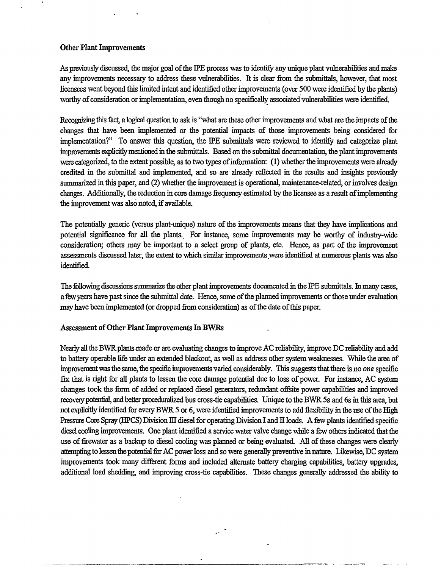# Other Plant Improvements

As previously discussed, the major goal of the IPE process was to identify any unique plant vulnerabilities and make any improvements necessary to address these vulnerabilities. It is clear from the submittals, however, that most licensees went beyond this limited intent and identified other improvements (over 500 were identified by the plants) worthy of consideration or implementation, even though no specifically associated vulnerabilities were identified.

Recognizing this fact, a logical question to ask is "what are these other improvements and what are the impacts of the changes that have been implemented or the potential impacts of those improvements being considered for implementation?" To answer this question, the IPE submittals were reviewed to identify and categorize plant improvements explicitly mentioned in the submittals. Based on the submittal documentation, the plant improvements were categorized, to the extent possible, as to two types of information: (1) whether the improvements were already credited in the submittal and implemented, and so are already reflected in the results and insights previously summarized in this paper, and (2) whether the improvement is operational, maintenance-related, or involves design changes. Additionally, the reduction in core damage frequency estimated by the licensee as a result of implementing the improvement was also noted, if available.

The potentially generic (versus plant-unique) nature of the improvements means that they have implications and potential significance for all the plants. For instance, some improvements may be worthy of industry-wide consideration; others may be important to a select group of plants, etc. Hence, as part of the improvement assessments discussed later, the extent to which similar improvements were identified at numerous plants was also identified.

The following discussions summarize the other plant improvements documented in the IPE submittals. In many cases, a few years have past since the submittal date. Hence, some of the planned improvements or those under evaluation may have been implemented (or dropped from consideration) as of the date of this paper.

## Assessment of Other Plant Improvements In BWRs

Nearly all the BWR plants.made or are evaluating changes to improve AC reliability, improve DC reliability and add to battery operable life under an extended blackout, as well as address other system weaknesses. While the area of improvement was me same, me specific improvements varied considerably. This suggests that there is no *one* specific fix that is right for all plants to lessen the core damage potential due to loss of power. For instance, AC system changes took the form of added or replaced diesel generators, redundant offsite power capabilities and improved recoverypotential, and better proceduralized bus cross-tie capabilities. Unique to the BWR 5s and 6s in this area, but not explicitly identified for every BWR 5 or 6, were identified improvements to add flexibility in the use of the High Pressure Core Spray (HPCS) Division III diesel for operating Division I and II loads. A few plants identified specific diesel cooling improvements. One plant identified a service water valve change while a few others indicated that the use of firewater as a backup to diesel cooling was planned or being evaluated. All of these changes were clearly attempting to lessen the potential for AC power loss and so were generally preventive in nature. Likewise, DC system improvements took many different forms and included alternate battery charging capabilities, battery upgrades, additional load shedding, and improving cross-tie capabilities. These changes generally addressed the ability to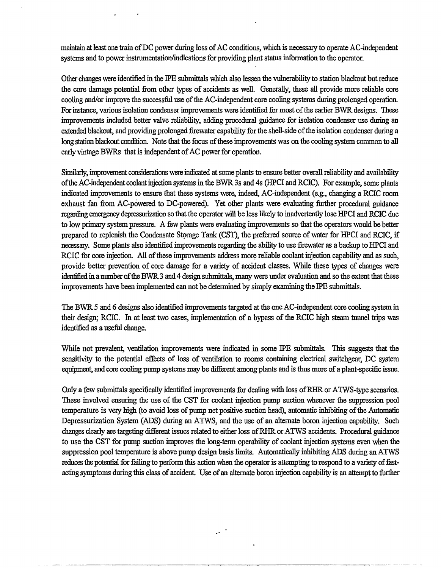maintain at least one train of DC power during loss of AC conditions, which is necessary to operate AC-independent systems and to power instrumentation/indications for providing plant status information to the operator.

Other changes were identified in the IPE submittals which also lessen the vulnerability to station blackout but reduce the core damage potential from other types of accidents as well. Generally, these all provide more reliable core cooling and/or improve the successful use of the AC-independent core cooling systems during prolonged operatioa For instance, various isolation condenser improvements were identified for most of the earlier BWR designs. These improvements included better valve reliability, adding procedural guidance for isolation condenser use during an extended blackout, and providing prolonged firewater capability for the shell-side of the isolation condenser during a long station blackout condition. Note that the focus of these improvements was on the cooling system common to all early vintage BWRs that is independent of AC power for operation.

Similarly, improvement considerations were indicated at some plants to ensure better overall reliability and availability of the AC-independent coolant injection systems in the BWR 3s and 4s (HPCI and RCIC). For example, some plants indicated improvements to ensure that these systems were, indeed, AC-independent (e.g., changing a RCIC room exhaust fan from AC-powered to DC-powered). Yet other plants were evaluating further procedural guidance regarding emergency depressurization so that the operator will be less likely to inadvertently lose HPCI and RCIC due to low primary system pressure. A few plants were evaluating improvements so that the operators would be better prepared to replenish the Condensate Storage Tank (CST), the preferred source of water for HPCI and RCIC, if necessary. Some plants also identified improvements regarding the ability to use firewater as a backup to HPCI and RCIC for core injection. All of these improvements address more reliable coolant injection capability and as such, provide better prevention of core damage for a variety of accident classes. While these types of changes were identified in a number of the BWR 3 and 4 design submittals, many were under evaluation and so the extent that these improvements have been implemented can not be determined by simply examining the IPE submittals.

The BWR 5 and 6 designs also identified improvements targeted at the one AC-independent core cooling system in their design; RCIC. In at least two cases, implementation of a bypass of the RCIC high steam tunnel trips was identified as a useful change.

While not prevalent, ventilation improvements were indicated in some IPE submittals. This suggests that the sensitivity to the potential effects of loss of ventilation to rooms containing electrical switchgear, DC system equipment, and core cooling pump systems may be different among plants and is thus more of a plant-specific issue.

Only a few submittals specifically identified improvements for dealing with loss of RHR or ATWS-type scenarios. These involved ensuring the use of the CST for coolant injection pump suction whenever the suppression pool temperature is very high (to avoid loss of pump net positive suction head), automatic inhibiting of the Automatic Depressurization System (ADS) during an ATWS, and the use of an alternate boron injection capability. Such changes clearly are targeting different issues related to either loss of RHR or ATWS accidents. Procedural guidance to use the CST for pump suction improves the long-term operability of coolant injection systems even when the suppression pool temperature is above pump design basis limits. Automatically inhibiting ADS during an ATWS reduces the potential for failing to perform this action when the operator is attempting to respond to a variety of fastacting symptoms during this class of accident. Use of an alternate boron injection capability is an attempt to further

 $\ddot{\phantom{0}}$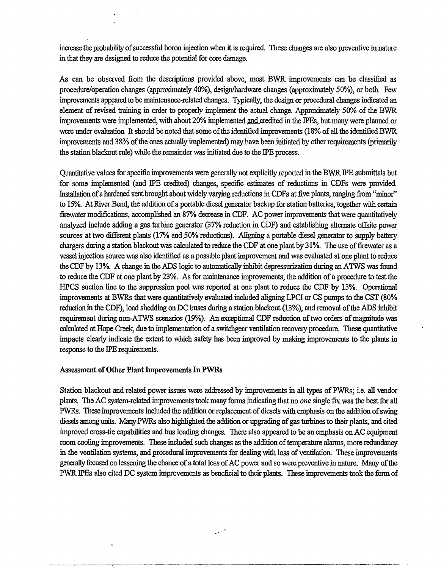increase the probability of successful boron injection when it is required. These changes are also preventive in nature in that they are designed to reduce the potential for core damage.

As can be observed from the descriptions provided above, most BWR improvements can be classified as procedure/operation changes (approximately 40%), design/hardware changes (approximately 50%), or both. Few improvements appeared to be maintenance-related changes. Typically, the design or procedural changes indicated an element of revised training in order to properly implement the actual change. Approximately 50% of the BWR improvements were implemented, with about 20% implemented and credited in the IPEs, but many were planned or were under evaluation It should be noted that some of the identified improvements (18% of all the identified BWR improvements and 38% of the ones actually implemented) may have been initiated by other requirements (primarily the station blackout rule) while the remainder was initiated due to the IPE process.

Quantitative values for specific improvements were generally not explicitiy reported in the BWR IPE submittals but for some implemented (and IPE credited) changes, specific estimates of reductions in CDFs were provided. Installation of a hardened vent brought about widely varying reductions in CDFs at five plants, ranging from "minor" to 15%. At River Bend, the addition of a portable diesel generator backup for station batteries, together with certain firewater modifications, accomplished an 87% decrease in CDF. AC power improvements that were quantitatively analyzed include adding a gas turbine generator (37% reduction in CDF) and establishing alternate ofisite power sources at two different plants (17% and.50% reductions). Aligning a portable diesel generator to supply battery chargers during a station blackout was calculated to reduce the CDF at one plant by 31%. The use of firewater as a vessel injection source was also identified as a possible plant improvement and was evaluated at one plant to reduce the CDF by 13%. A change in the ADS logic to automatically inhibit depressurization during an ATWS was found to reduce the CDF at one plant by 23%. As for maintenance improvements, the addition of a procedure to test the HPCS suction line to the suppression pool was reported at one plant to reduce the CDF by 13%. Operational improvements at BWRs that were quantitatively evaluated included aligning LPCI or CS pumps to the CST (80% reduction in the CDF), load shedding on DC buses during a station blackout (13%), and removal of the ADS inhibit requirement during non-ATWS scenarios (19%). An exceptional CDF reduction of two orders of magnitude was calculated at Hope Creek, due to implementation of a switchgear ventilation recovery procedure. These quantitative impacts clearly indicate the extent to which safety has been improved by making improvements to the plants in response to the IPE requirements.

# Assessment of Other Plant Improvements La PWRs

Station blackout and related power issues were addressed by improvements in all types of PWRs; i.e. all vendor plants. The AC system-related improvements took many forms indicating that no *one* single fix was the best for all PWRs. These improvements included the addition or replacement of diesels with emphasis on the addition of swing diesels among units. Many PWRs also highlighted the addition or upgrading of gas turbines to their plants, and cited improved cross-tie capabilities and bus loading changes. There also appeared to be an emphasis on AC equipment room cooling improvements. These included such changes as the addition of temperature alarms, more redundancy in the ventilation systems, and procedural improvements for dealing with loss of ventilation. These improvements generally focused on lessening the chance of a total loss of AC power and so were preventive in nature. Many of the PWR IPEs also cited DC system improvements as beneficial to their plants. These improvements took the form of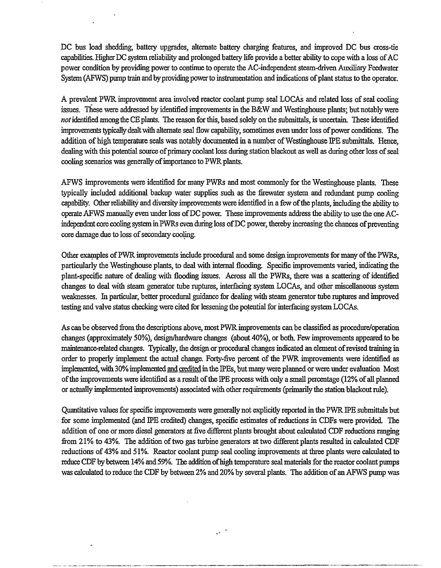DC bus load shedding, battery upgrades, alternate battery charging features, and improved DC bus cross-tie capabilities. Higher DC system reliability and prolonged battery life provide a better ability to cope with a loss of AC power condition by providing power to continue to operate the AC-independent steam-driven Auxiliary Feedwater System (AFWS) pump train and by providing power to instrumentation and indications of plant status to the operator.

A prevalent PWR improvement area involved reactor coolant pump seal LOCAs and related loss of seal cooling issues. These were addressed by identified improvements in the B&W and Westinghouse plants; but notably were *not* identified among the CE plants. The reason for this, based solely on the submittals, is uncertain. These identified improvements typically dealt with alternate seal flow capability, sometimes even under loss of power conditions. The addition of high temperature seals was notably documented in a number of Westinghouse IPE submittals. Hence, dealing with this potential source of primary coolant loss during station blackout as well as during other loss of seal cooling scenarios was generally of importance to PWR plants.

AFWS improvements were identified for many PWRs and most commonly for the Westinghouse plants. These typically included additional backup water supplies such as the firewater system and redundant pump cooling capability. Other reliability and diversity improvements were identified in a few of the plants, including the ability to operate AFWS manually even under loss of DC power. These improvements address the ability to use the one ACindependent core cooling system in PWRs even during loss of DC power, thereby increasing the chances of preventing core damage due to loss of secondary cooling.

Other examples of PWR improvements include procedural and some design improvements for many of the PWRs, particularly the Westinghouse plants, to deal with internal flooding. Specific improvements varied, indicating the plant-specific nature of dealing with flooding issues. Across all the PWRs, there was a scattering of identified changes to deal with steam generator tube ruptures, interfacing system LOCAs, and other miscellaneous system weaknesses. In particular, better procedural guidance for dealing with steam generator tube ruptures and improved testing and valve status checking were cited for lessening the potential for interfacing system LOCAs.

As can be observed from the descriptions above, most PWR improvements can be classified as procedure/operation changes (approximately 50%), design/hardware changes (about 40%), or both. Few improvements appeared to be maintenance-related changes. Typically, the design or procedural changes indicated an element of revised training in order to properly implement the actual change. Forty-five percent of the PWR improvements were identified as implemented, with 30% implemented and credited in the IPEs, but many were planned or were under evaluation Most of the improvements were identified as a result of the IPE process with only a small percentage (12% of all planned or actually implemented improvements) associated with other requirements (primarily the station blackout rule).

Quantitative values for specific improvements were generally not explicitly reported in the PWR IPE submittals but for some implemented (and IPE credited) changes, specific estimates of reductions in CDFs were provided. The addition of one or more diesel generators at five different plants brought about calculated CDF reductions ranging from 21% to 43%. The addition of two gas turbine generators at two different plants resulted in calculated CDF reductions of 43% and 51%. Reactor coolant pump seal cooling improvements at three plants were calculated to reduce CDF by between 14% and 59%. The addition of high temperature seal materials for the reactor coolant pumps was calculated to reduce the CDF by between 2% and 20% by several plants. The addition of an AFWS pump was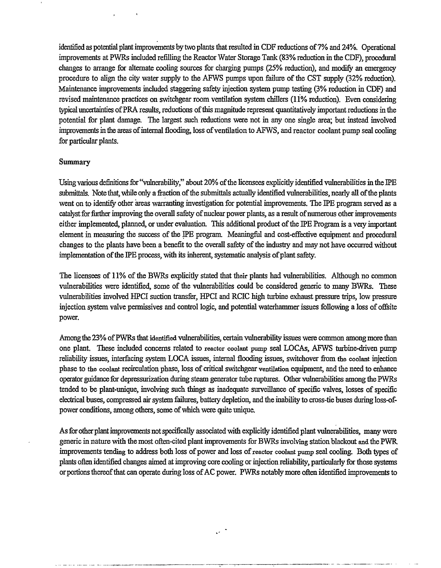identified as potential plant improvements by two plants that resulted in CDF reductions of 7% and 24%. Operational improvements at PWRs included refilling the Reactor Water Storage Tank (83% reduction in the *CDF),* procedural changes to arrange for alternate cooling sources for charging pumps (25% reduction), and modify an emergency procedure to align the city water supply to the AFWS pumps upon failure of the CST supply (32% reduction). Maintenance improvements included staggering safety injection system pump testing (3% reduction in CDF) and revised maintenance practices on switchgear room ventilation system chillers (11% reduction). Even considering typical uncertainties of PRA results, reductions of this magnitude represent quantitatively important reductions in the potential for plant damage. The largest such reductions were not in any one single area; but instead involved improvements in the areas of internal flooding, loss of ventilation to AFWS, and reactor coolant pump seal cooling for particular plants.

## Summary

Using various definitions for "vulnerability," about 20% of the licensees explicitly identified vulnerabilities in the IPE submittals. Note that, while only a fraction of the submittals actually identified vulnerabilities, nearly all of the plants went on to identify other areas warranting investigation for potential improvements. The IPE program served as a catalyst for further improving the overall safety of nuclear power plants, as a result of numerous other improvements either implemented, planned, or under evaluation. This additional product of the IPE Program is a very important element in measuring the success of the IPE program Meaningful and cost-effective equipment and procedural changes to the plants have been a benefit to the overall safety of the industry and may not have occurred without implementation of the IPE process, with its inherent, systematic analysis of plant safety.

The licensees of 11% of the BWRs explicitly stated that their plants had vulnerabilities. Although no common vulnerabilities were identified, some of the vulnerabilities could be considered generic to many BWRs. These vulnerabilities involved HPCI suction transfer, HPCI and RCIC high turbine exhaust pressure trips, low pressure injection system valve permissives and control logic, and potential waterhammer issues following a loss of offsite power.

Among the 23% of PWRs that identified vulnerabilities, certain vulnerability issues were common among more than one plant. These included concerns related to reactor coolant pump seal LOCAs, AFWS turbine-driven pump reliability issues, interfacing system LOCA issues, internal flooding issues, switchover from the coolant injection phase to the coolant recirculation phase, loss of critical switchgear ventilation equipment, and the need to enhance operator guidance for depressurization during steam generator tube ruptures. Other vulnerabilities among the PWRs tended to be plant-unique, involving such things as inadequate surveillance of specific valves, losses of specific electrical buses, compressed air system failures, battery depletion, and the inability to cross-tie buses during loss-ofpower conditions, among others, some of which were quite unique.

As for other plant improvements not specifically associated with explicitly identified plant vulnerabilities, many were generic in nature with the most often-cited plant improvements for BWRs involving station blackout and the PWR improvements tending to address both loss of power and loss of reactor coolant pump seal cooling. Both types of plants often identified changes aimed at improving core cooling or injection reliability, particularly for those systems or portions thereof that can operate during loss of AC power. PWRs notably more often identified improvements to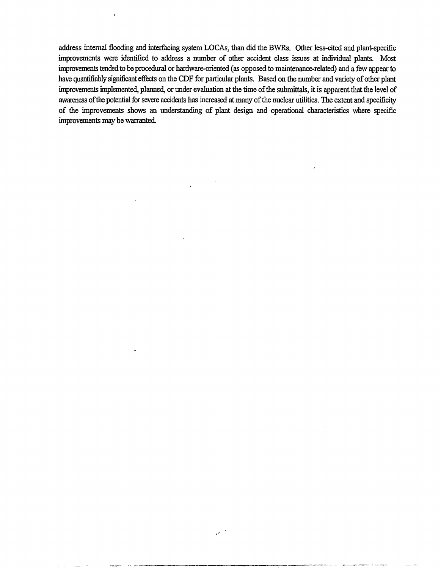address internal flooding and interfacing system LOCAs, than did the BWRs. Other less-cited and plant-specific improvements were identified to address a number of other accident class issues at individual plants. Most improvements tended to be procedural or hardware-oriented (as opposed to maintenance-related) and a few appear to have quantifiably significant effects on the CDF for particular plants. Based on the number and variety of other plant improvements implemented, planned, or under evaluation at the time of the submittals, it is apparent that the level of awareness of the potential for severe accidents has increased at many of the nuclear utilities. The extent and specificity of the improvements shows an understanding of plant design and operational characteristics where specific improvements may be warranted